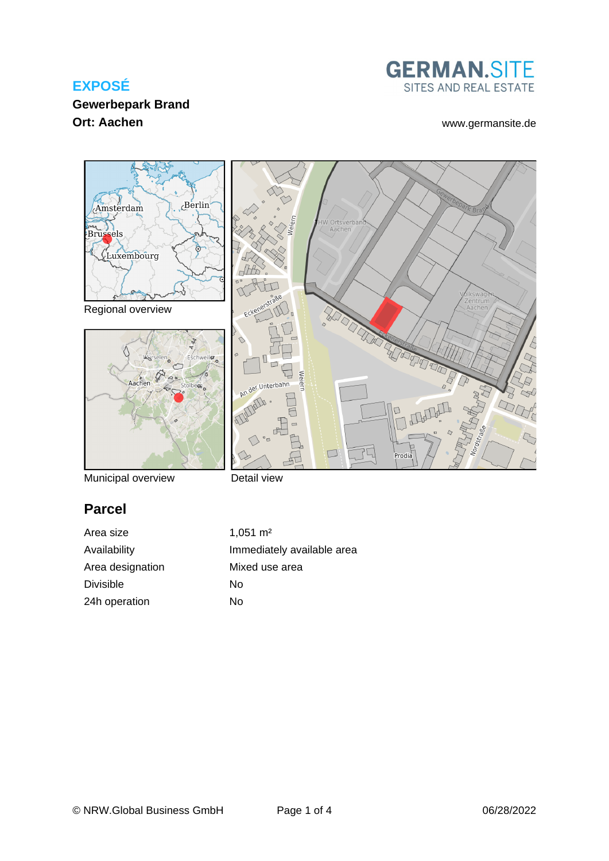## **EXPOSÉ**

## **GERMAN.SITE** SITES AND REAL ESTATE

## **Gewerbepark Brand Ort: Aachen** [www.germansite.de](http://www.germansite.de)



Municipal overview

Detail view

# **Parcel**

Area size 1,051 m<sup>2</sup> Area designation Mixed use area Divisible No 24h operation No

Availability **Immediately** available area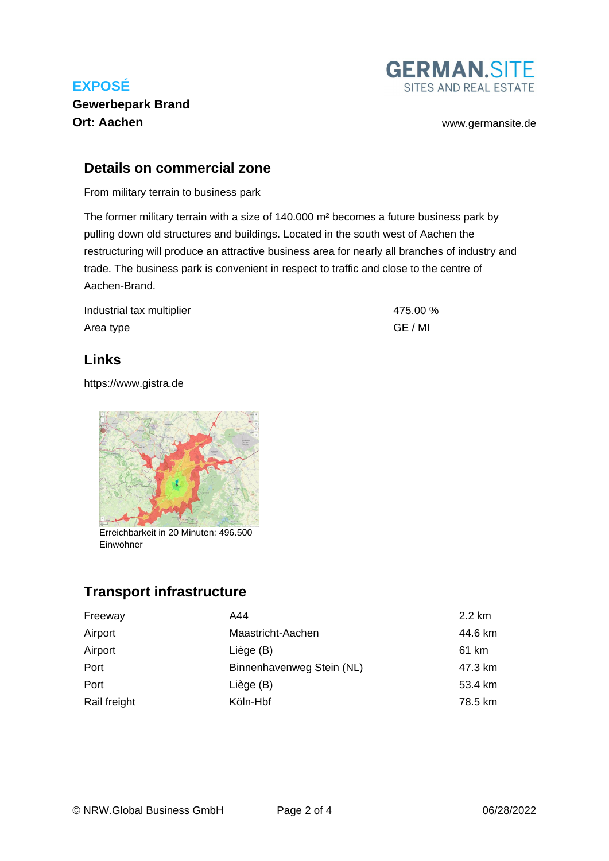## **EXPOSÉ Gewerbepark Brand Ort: Aachen** [www.germansite.de](http://www.germansite.de)



#### **Details on commercial zone**

From military terrain to business park

The former military terrain with a size of 140.000 m² becomes a future business park by pulling down old structures and buildings. Located in the south west of Aachen the restructuring will produce an attractive business area for nearly all branches of industry and trade. The business park is convenient in respect to traffic and close to the centre of Aachen-Brand.

| Industrial tax multiplier | 475.00 % |
|---------------------------|----------|
| Area type                 | GE / MI  |

#### **Links**

<https://www.gistra.de>



Erreichbarkeit in 20 Minuten: 496.500 Einwohner

## **Transport infrastructure**

| Freeway      | A44                       | 2.2 km  |
|--------------|---------------------------|---------|
| Airport      | Maastricht-Aachen         | 44.6 km |
| Airport      | Liège (B)                 | 61 km   |
| Port         | Binnenhavenweg Stein (NL) | 47.3 km |
| Port         | Liège (B)                 | 53.4 km |
| Rail freight | Köln-Hbf                  | 78.5 km |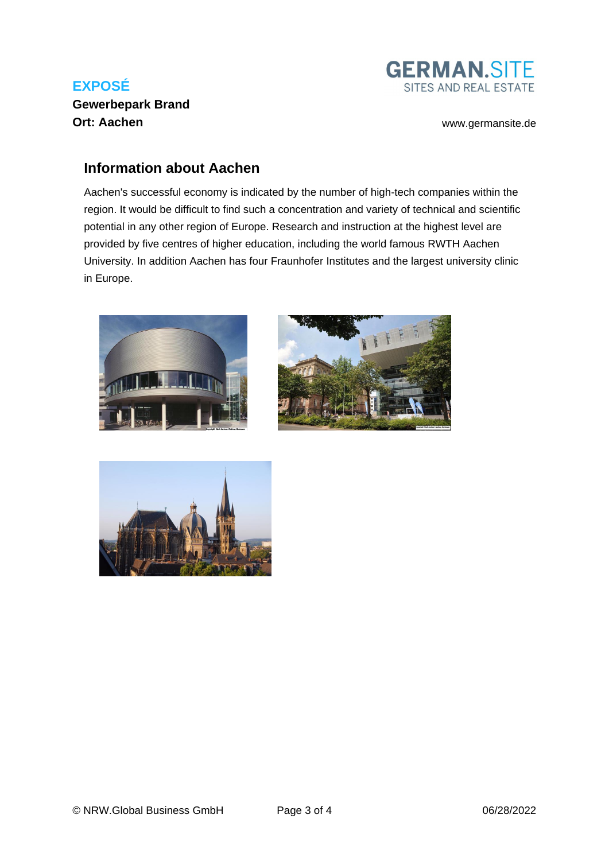## **EXPOSÉ Gewerbepark Brand Ort: Aachen** [www.germansite.de](http://www.germansite.de)



#### **Information about Aachen**

Aachen's successful economy is indicated by the number of high-tech companies within the region. It would be difficult to find such a concentration and variety of technical and scientific potential in any other region of Europe. Research and instruction at the highest level are provided by five centres of higher education, including the world famous RWTH Aachen University. In addition Aachen has four Fraunhofer Institutes and the largest university clinic in Europe.